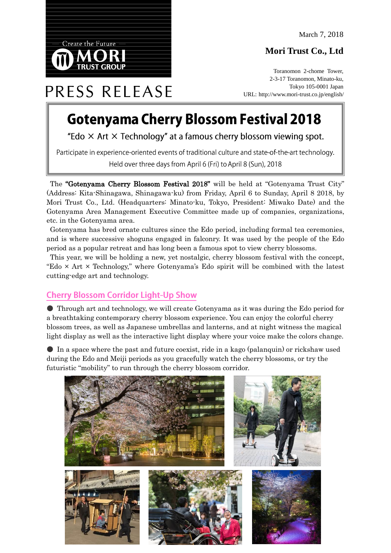## **Mori Trust Co., Ltd**



# PRESS RELEASE

**Create the Future** 

## **Gotenyama Cherry Blossom Festival 2018**

"Edo  $\times$  Art  $\times$  Technology" at a famous cherry blossom viewing spot.

Participate in experience-oriented events of traditional culture and state-of-the-art technology. Held over three days from April 6 (Fri) to April 8 (Sun), 2018

The "Gotenyama Cherry Blossom Festival 2018" will be held at "Gotenyama Trust City" (Address: Kita-Shinagawa, Shinagawa-ku) from Friday, April 6 to Sunday, April 8 2018, by Mori Trust Co., Ltd. (Headquarters: Minato-ku, Tokyo, President: Miwako Date) and the Gotenyama Area Management Executive Committee made up of companies, organizations, etc. in the Gotenyama area.

Gotenyama has bred ornate cultures since the Edo period, including formal tea ceremonies, and is where successive shoguns engaged in falconry. It was used by the people of the Edo period as a popular retreat and has long been a famous spot to view cherry blossoms.

This year, we will be holding a new, yet nostalgic, cherry blossom festival with the concept, "Edo  $\times$  Art  $\times$  Technology," where Gotenyama's Edo spirit will be combined with the latest cutting-edge art and technology.

### **Cherry Blossom Corridor Light-Up Show**

● Through art and technology, we will create Gotenyama as it was during the Edo period for a breathtaking contemporary cherry blossom experience. You can enjoy the colorful cherry blossom trees, as well as Japanese umbrellas and lanterns, and at night witness the magical light display as well as the interactive light display where your voice make the colors change.

● In a space where the past and future coexist, ride in a kago (palanquin) or rickshaw used during the Edo and Meiji periods as you gracefully watch the cherry blossoms, or try the futuristic "mobility" to run through the cherry blossom corridor.

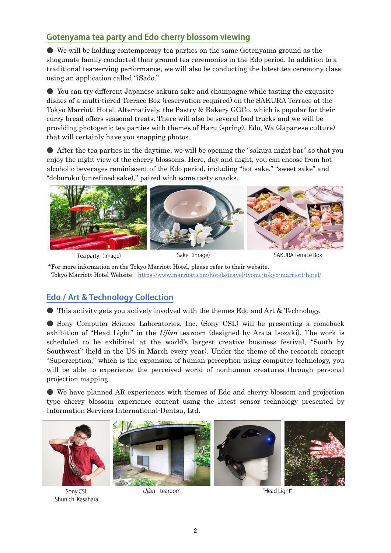## Gotenyama tea party and Edo cherry blossom viewing

● We will be holding contemporary tea parties on the same Gotenyama ground as the shogunate family conducted their ground tea ceremonies in the Edo period. In addition to a traditional tea-serving performance, we will also be conducting the latest tea ceremony class using an application called "iSado."

● You can try different Japanese sakura sake and champagne while tasting the exquisite dishes of a multi-tiered Terrace Box (reservation required) on the SAKURA Terrace at the Tokyo Marriott Hotel. Alternatively, the Pastry & Bakery GGCo. which is popular for their curry bread offers seasonal treats. There will also be several food trucks and we will be providing photogenic tea parties with themes of Haru (spring), Edo, Wa (Japanese culture) that will certainly have you snapping photos.

● After the tea parties in the daytime, we will be opening the "sakura night bar" so that you enjoy the night view of the cherry blossoms. Here, day and night, you can choose from hot alcoholic beverages reminiscent of the Edo period, including "hot sake," "sweet sake" and "doburoku (unrefined sake)," paired with some tasty snacks.



Tea party (image)

Sake (image)

**SAKURA Terrace Box** 

\*For more information on the Tokyo Marriott Hotel, please refer to their website. Tokyo Marriott Hotel Website: https://www.marriott.com/hotels/travel/tyomc-tokyo-marriott-hotel/

## **Edo / Art & Technology Collection**

● This activity gets you actively involved with the themes Edo and Art & Technology.

● Sony Computer Science Laboratories, Inc. (Sony CSL) will be presenting a comeback exhibition of "Head Light" in the Ujian tearoom (designed by Arata Isozaki). The work is scheduled to be exhibited at the world's largest creative business festival, "South by Southwest" (held in the US in March every year). Under the theme of the research concept "Superception," which is the expansion of human perception using computer technology, you will be able to experience the perceived world of nonhuman creatures through personal projection mapping.

● We have planned AR experiences with themes of Edo and cherry blossom and projection type cherry blossom experience content using the latest sensor technology presented by Information Services International-Dentsu, Ltd.



Sony CSL Shunichi Kasahara

Ujian tearoom

"Head Light"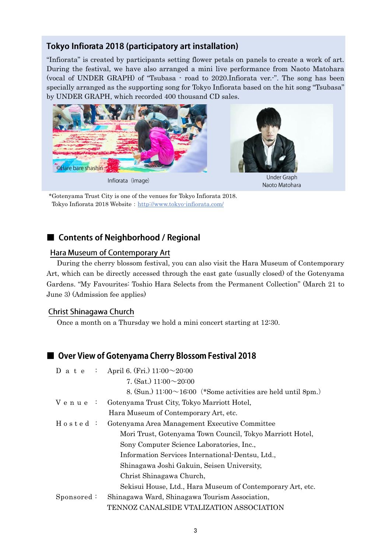#### Tokyo Infiorata 2018 (participatory art installation)

"Infiorata" is created by participants setting flower petals on panels to create a work of art. During the festival, we have also arranged a mini live performance from Naoto Matohara (vocal of UNDER GRAPH) of "Tsubasa - road to 2020.Infiorata ver.-". The song has been specially arranged as the supporting song for Tokyo Infiorata based on the hit song "Tsubasa" by UNDER GRAPH, which recorded 400 thousand CD sales.



\*Gotenyama Trust City is one of the venues for Tokyo Infiorata 2018. Tokyo Infiorata 2018 Website: http://www.tokyo-infiorata.com/

#### ■ Contents of Neighborhood / Regional

#### Hara Museum of Contemporary Art

During the cherry blossom festival, you can also visit the Hara Museum of Contemporary Art, which can be directly accessed through the east gate (usually closed) of the Gotenyama Gardens. "My Favourites: Toshio Hara Selects from the Permanent Collection" (March 21 to June 3) (Admission fee applies)

#### Christ Shinagawa Church

Once a month on a Thursday we hold a mini concert starting at 12:30.

#### ■ Over View of Gotenyama Cherry Blossom Festival 2018

|             | D a t e : April 6. (Fri.) $11:00 \sim 20:00$                        |
|-------------|---------------------------------------------------------------------|
|             | 7. (Sat.) $11:00 \sim 20:00$                                        |
|             | 8. (Sun.) $11:00 \sim 16:00$ (*Some activities are held until 8pm.) |
| Venue :     | Gotenyama Trust City, Tokyo Marriott Hotel,                         |
|             | Hara Museum of Contemporary Art, etc.                               |
| $H$ o sted: | Gotenyama Area Management Executive Committee                       |
|             | Mori Trust, Gotenyama Town Council, Tokyo Marriott Hotel,           |
|             | Sony Computer Science Laboratories, Inc.,                           |
|             | Information Services International Dentsu, Ltd.,                    |
|             | Shinagawa Joshi Gakuin, Seisen University,                          |
|             | Christ Shinagawa Church,                                            |
|             | Sekisui House, Ltd., Hara Museum of Contemporary Art, etc.          |
| Sponsored:  | Shinagawa Ward, Shinagawa Tourism Association,                      |
|             | TENNOZ CANALSIDE VTALIZATION ASSOCIATION                            |